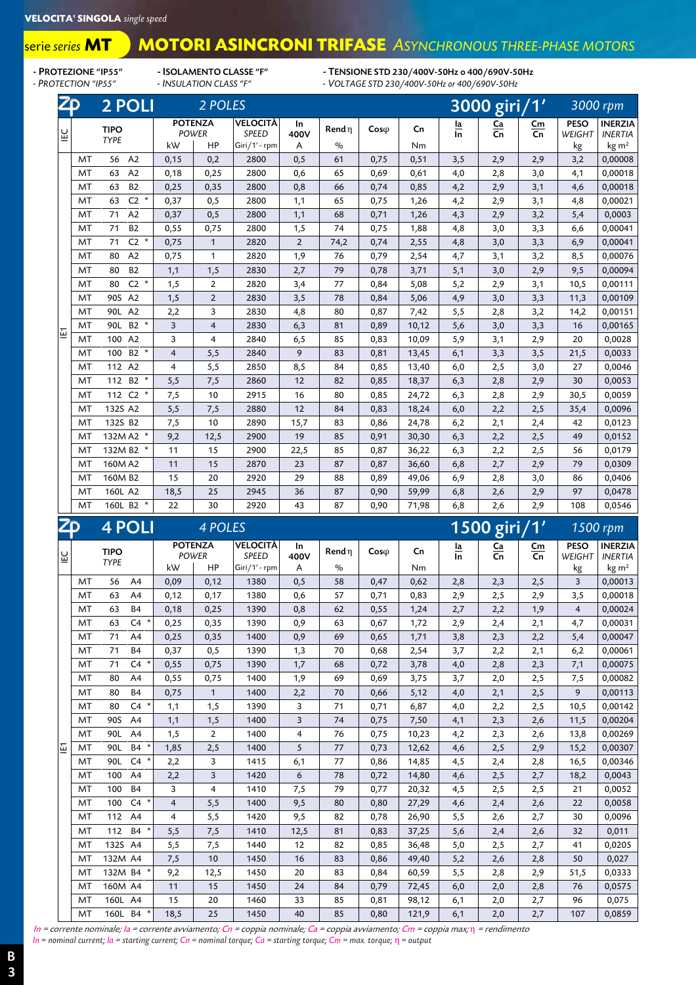## **MOTORI ASINCRONI TRIFASE** *ASYNCHRONOUS THREE-PHASE MOTORS*

serie *series* **MT**

- PROTEZIONE "IP55" - ISOLAMENTO CLASSE "F" - TENSIONE STD 230/400V-50Hz o 400/690V-50Hz<br>- PROTECTION "IP55" - INSULATION CLASS "F" - VOLTAGE STD 230/400V-50Hz or 400/690V-50Hz

*- PROTECTION "IP55" - INSULATION CLASS "F" - VOLTAGE STD 230/400V-50Hz or 400/690V-50Hz*

| ZD  |           | 2 POLI                          |                         | 2 POLES                        |                          |                |               |              |       | 3000 giri/1'                  |               |          |                         | 3000 rpm                         |  |
|-----|-----------|---------------------------------|-------------------------|--------------------------------|--------------------------|----------------|---------------|--------------|-------|-------------------------------|---------------|----------|-------------------------|----------------------------------|--|
| ĒΣ  |           | <b>TIPO</b>                     |                         | <b>POTENZA</b><br><b>POWER</b> | VELOCITÀ<br><b>SPEED</b> | In<br>400V     | Rend n        | $Cos\varphi$ | Cn    | $\frac{\text{Ia}}{\text{In}}$ | $rac{Ca}{Cn}$ | Cm<br>Cn | <b>PESO</b><br>WEIGHT   | <b>INERZIA</b><br><b>INERTIA</b> |  |
|     |           | <b>TYPE</b>                     | kW                      | HP                             | Giri/1' - rpm            | Α              | $\frac{1}{2}$ |              | Nm    |                               |               |          | kg                      | $\text{kg m}^2$                  |  |
|     | MT        | 56<br>A2                        | 0,15                    | 0,2                            | 2800                     | 0,5            | 61            | 0,75         | 0,51  | 3,5                           | 2,9           | 2,9      | 3,2                     | 0,00008                          |  |
|     | MT        | A2<br>63                        | 0,18                    | 0,25                           | 2800                     | 0,6            | 65            | 0,69         | 0,61  | 4,0                           | 2,8           | 3,0      | 4,1                     | 0,00018                          |  |
|     | MT        | <b>B2</b><br>63                 | 0,25                    | 0,35                           | 2800                     | 0,8            | 66            | 0,74         | 0,85  | 4,2                           | 2,9           | 3,1      | 4,6                     | 0,00018                          |  |
|     | MT        | C <sub>2</sub><br>$\star$<br>63 | 0,37                    | 0,5                            | 2800                     | 1,1            | 65            | 0,75         | 1,26  | 4,2                           | 2,9           | 3,1      | 4,8                     | 0,00021                          |  |
|     | MT        | 71<br>A <sub>2</sub>            | 0,37                    | 0, 5                           | 2800                     | 1,1            | 68            | 0,71         | 1,26  | 4,3                           | 2,9           | 3,2      | 5,4                     | 0,0003                           |  |
|     | MT        | <b>B2</b><br>71                 | 0,55                    | 0,75                           | 2800                     | 1,5            | 74            | 0,75         | 1,88  | 4,8                           | 3,0           | 3,3      | 6,6                     | 0,00041                          |  |
|     | MT        | $C2$ *<br>71                    | 0,75                    | $\mathbf{1}$                   | 2820                     | $\overline{2}$ | 74,2          | 0,74         | 2,55  | 4,8                           | 3,0           | 3,3      | 6,9                     | 0,00041                          |  |
|     | MT        | A2<br>80                        | 0,75                    | $\mathbf{1}$                   | 2820                     | 1,9            | 76            | 0,79         | 2,54  | 4,7                           | 3,1           | 3,2      | 8,5                     | 0,00076                          |  |
|     | MT        | <b>B2</b><br>80                 | 1,1                     | 1,5                            | 2830                     | 2,7            | 79            | 0,78         | 3,71  | 5,1                           | 3,0           | 2,9      | 9,5                     | 0,00094                          |  |
|     | MT        | C <sub>2</sub><br>$\star$<br>80 | 1,5                     | $\overline{2}$                 | 2820                     | 3,4            | 77            | 0,84         | 5,08  | 5,2                           | 2,9           | 3,1      | 10,5                    | 0,00111                          |  |
|     | MT        | A2<br>90S                       | 1,5                     | $\overline{2}$                 | 2830                     | 3,5            | 78            | 0,84         | 5,06  | 4,9                           | 3,0           | 3,3      | 11,3                    | 0,00109                          |  |
|     | MT        | A2<br>90L                       | 2,2                     | 3                              | 2830                     | 4,8            | 80            | 0,87         | 7,42  | 5,5                           | 2,8           | 3,2      | 14,2                    | 0,00151                          |  |
| IE1 | MT        | $B2$ *<br>90L                   | 3                       | $\overline{4}$                 | 2830                     | 6,3            | 81            | 0,89         | 10,12 | 5,6                           | 3,0           | 3,3      | 16                      | 0,00165                          |  |
|     | MT        | A2<br>100                       | 3                       | $\overline{4}$                 | 2840                     | 6,5            | 85            | 0,83         | 10,09 | 5,9                           | 3,1           | 2,9      | 20                      | 0,0028                           |  |
|     | MT        | $B2 *$<br>100                   | $\overline{\mathbf{4}}$ | 5,5                            | 2840                     | 9              | 83            | 0,81         | 13,45 | 6,1                           | 3,3           | 3,5      | 21,5                    | 0,0033                           |  |
|     | MT        | 112 A2                          | $\overline{4}$          | 5,5                            | 2850                     | 8,5            | 84            | 0,85         | 13,40 | 6,0                           | 2,5           | 3,0      | 27                      | 0,0046                           |  |
|     | MT        | <b>B2</b><br>112                | 5,5                     | 7,5                            | 2860                     | 12             | 82            | 0,85         | 18,37 | 6,3                           | 2,8           | 2,9      | 30                      | 0,0053                           |  |
|     | MT        | 112 C2 *                        | 7,5                     | 10                             | 2915                     | 16             | 80            | 0,85         | 24,72 | 6,3                           | 2,8           | 2,9      | 30,5                    | 0,0059                           |  |
|     | MT        | 132S A2                         | 5,5                     | 7,5                            | 2880                     | 12             | 84            | 0,83         | 18,24 | 6,0                           | 2,2           | 2,5      | 35,4                    | 0,0096                           |  |
|     | MT        | 132S B2                         | 7,5                     | 10                             | 2890                     | 15,7           | 83            | 0,86         | 24,78 | 6,2                           | 2,1           | 2,4      | 42                      | 0,0123                           |  |
|     | MT        | 132M A2 *                       | 9,2                     | 12,5                           | 2900                     | 19             | 85            | 0,91         | 30,30 | 6,3                           | 2,2           | 2,5      | 49                      | 0,0152                           |  |
|     | MT        | 132M B2                         | 11                      | 15                             | 2900                     | 22,5           | 85            | 0,87         | 36,22 | 6,3                           | 2,2           | 2,5      | 56                      | 0,0179                           |  |
|     | MT        | 160M A2                         | 11                      | 15                             | 2870                     | 23             | 87            | 0,87         | 36,60 | 6,8                           | 2,7           | 2,9      | 79                      | 0,0309                           |  |
|     | MT        | 160M B <sub>2</sub>             | 15                      | 20                             | 2920                     | 29             | 88            | 0,89         | 49,06 | 6,9                           | 2,8           | 3,0      | 86                      | 0,0406                           |  |
|     | MT        | 160L A2                         | 18,5                    | 25                             | 2945                     | 36             | 87            | 0,90         | 59,99 | 6,8                           | 2,6           | 2,9      | 97                      | 0,0478                           |  |
|     | MT        | $\star$<br>160L B2              | 22                      | 30                             | 2920                     | 43             | 87            | 0,90         | 71,98 | 6,8                           | 2,6           | 2,9      | 108                     | 0,0546                           |  |
| ZD  |           | <b>4 POLI</b>                   |                         | 4 POLES                        |                          |                |               |              |       |                               | 1500 giri/1'  |          |                         | 1500 rpm                         |  |
| ĒΩ  |           | <b>TIPO</b><br><b>TYPE</b>      |                         | <b>POTENZA</b><br><b>POWER</b> | VELOCITÀ<br>SPEED        | In<br>400V     | Rend $\eta$   | $Cos\varphi$ | Cn    | $\frac{la}{\ln}$              | $rac{Ca}{Cn}$ | Cm<br>Cn | PESO<br>WEIGHT          | <b>INERZIA</b><br><b>INERTIA</b> |  |
|     |           |                                 | kW                      | HP                             | Giri/1' - rpm            | A              | $\%$          |              | Nm    |                               |               |          | kg                      | $\text{kg m}^2$                  |  |
|     | MT        | 56<br>A <sub>4</sub>            | 0,09                    | 0,12                           | 1380                     | 0,5            | 58            | 0,47         | 0,62  | 2,8                           | 2,3           | 2,5      | $\overline{3}$          | 0,00013                          |  |
|     | MT        | 63<br>A4                        | 0,12                    | 0,17                           | 1380                     | 0,6            | 57            | 0,71         | 0,83  | 2,9                           | 2,5           | 2,9      | 3,5                     | 0,00018                          |  |
|     | MT        | 63<br><b>B4</b>                 | 0,18                    | 0,25                           | 1390                     | 0,8            | 62            | 0,55         | 1,24  | 2,7                           | 2,2           | 1,9      | $\overline{\mathbf{4}}$ | 0,00024                          |  |
|     | <b>MT</b> | $\star$<br>$C_{4}$<br>63        | 0.25                    | 035                            | 1390                     | 09             | 63            | 0.67         | 172   | 29                            | 24            | 21       | 47                      | 0.00031                          |  |

|   | 171 L | JU<br>$\mathsf{H}$              | v,v.           | ∪, ı ∠       | טטטו | ∪,   | ັບ | יד, ט | v,v∠  | ∠,∪ | ں رے | رے  | ◡              | 0,000 i J |
|---|-------|---------------------------------|----------------|--------------|------|------|----|-------|-------|-----|------|-----|----------------|-----------|
|   | MT    | A <sub>4</sub><br>63            | 0,12           | 0,17         | 1380 | 0,6  | 57 | 0,71  | 0,83  | 2,9 | 2,5  | 2,9 | 3,5            | 0,00018   |
|   | MT    | <b>B4</b><br>63                 | 0,18           | 0,25         | 1390 | 0,8  | 62 | 0,55  | 1,24  | 2,7 | 2,2  | 1,9 | $\overline{4}$ | 0,00024   |
|   | MT    | $\star$<br>C <sub>4</sub><br>63 | 0,25           | 0,35         | 1390 | 0,9  | 63 | 0,67  | 1,72  | 2,9 | 2,4  | 2,1 | 4,7            | 0,00031   |
|   | MT    | 71<br>A4                        | 0,25           | 0,35         | 1400 | 0,9  | 69 | 0,65  | 1,71  | 3,8 | 2,3  | 2,2 | 5,4            | 0,00047   |
|   | MT    | <b>B4</b><br>71                 | 0,37           | 0,5          | 1390 | 1,3  | 70 | 0,68  | 2,54  | 3,7 | 2,2  | 2,1 | 6,2            | 0,00061   |
|   | MT    | $C4$ *<br>71                    | 0,55           | 0,75         | 1390 | 1,7  | 68 | 0,72  | 3,78  | 4,0 | 2,8  | 2,3 | 7,1            | 0,00075   |
|   | MT    | A4<br>80                        | 0,55           | 0,75         | 1400 | 1,9  | 69 | 0,69  | 3,75  | 3,7 | 2,0  | 2,5 | 7,5            | 0,00082   |
|   | MT    | 80<br><b>B4</b>                 | 0,75           | $\mathbf{1}$ | 1400 | 2,2  | 70 | 0,66  | 5,12  | 4,0 | 2,1  | 2,5 | 9              | 0,00113   |
|   | MT    | $C4$ *<br>80                    | 1,1            | 1,5          | 1390 | 3    | 71 | 0,71  | 6,87  | 4,0 | 2,2  | 2,5 | 10,5           | 0,00142   |
|   | MT    | 90S<br>A4                       | 1,1            | 1,5          | 1400 | 3    | 74 | 0,75  | 7,50  | 4,1 | 2,3  | 2,6 | 11,5           | 0,00204   |
|   | MT    | 90L<br>A4                       | 1,5            | 2            | 1400 | 4    | 76 | 0,75  | 10,23 | 4,2 | 2,3  | 2,6 | 13,8           | 0,00269   |
| 문 | MT    | $B4 *$<br>90L                   | 1,85           | 2,5          | 1400 | 5    | 77 | 0,73  | 12,62 | 4,6 | 2,5  | 2,9 | 15,2           | 0,00307   |
|   | MT    | 90L<br>C4                       | 2,2            | 3            | 1415 | 6,1  | 77 | 0,86  | 14,85 | 4,5 | 2,4  | 2,8 | 16,5           | 0,00346   |
|   | MT    | A <sub>4</sub><br>100           | 2,2            | 3            | 1420 | 6    | 78 | 0,72  | 14,80 | 4,6 | 2,5  | 2,7 | 18,2           | 0,0043    |
|   | MT    | <b>B4</b><br>100                | 3              | 4            | 1410 | 7,5  | 79 | 0,77  | 20,32 | 4,5 | 2,5  | 2,5 | 21             | 0,0052    |
|   | MT    | $C4$ *<br>100                   | $\overline{4}$ | 5,5          | 1400 | 9,5  | 80 | 0,80  | 27,29 | 4,6 | 2,4  | 2,6 | 22             | 0,0058    |
|   | MT    | A <sub>4</sub><br>112           | 4              | 5,5          | 1420 | 9,5  | 82 | 0,78  | 26,90 | 5,5 | 2,6  | 2,7 | 30             | 0,0096    |
|   | MT    | $B4$ *<br>112                   | 5,5            | 7,5          | 1410 | 12,5 | 81 | 0,83  | 37,25 | 5,6 | 2,4  | 2,6 | 32             | 0,011     |
|   | MT    | 132S A4                         | 5,5            | 7,5          | 1440 | 12   | 82 | 0,85  | 36,48 | 5,0 | 2,5  | 2,7 | 41             | 0,0205    |
|   | MT    | 132M A4                         | 7,5            | 10           | 1450 | 16   | 83 | 0,86  | 49,40 | 5,2 | 2,6  | 2,8 | 50             | 0,027     |
|   | MT    | 132M B4<br>$\star$              | 9,2            | 12,5         | 1450 | 20   | 83 | 0,84  | 60,59 | 5,5 | 2,8  | 2,9 | 51,5           | 0,0333    |
|   | MT    | 160M A4                         | 11             | 15           | 1450 | 24   | 84 | 0,79  | 72,45 | 6,0 | 2,0  | 2,8 | 76             | 0,0575    |
|   | MT    | 160L A4                         | 15             | 20           | 1460 | 33   | 85 | 0,81  | 98,12 | 6,1 | 2,0  | 2,7 | 96             | 0,075     |
|   | MT    | 160L B4 *                       | 18,5           | 25           | 1450 | 40   | 85 | 0,80  | 121,9 | 6,1 | 2,0  | 2,7 | 107            | 0,0859    |

In = corrente nominale; Ia = corrente avviamento; Cn = coppia nominale; Ca = coppia avviamento; Cm = coppia max; η = rendimento

*In = nominal current; Ia = starting current; Cn = nominal torque; Ca = starting torque; Cm = max. torque;* η *= output*